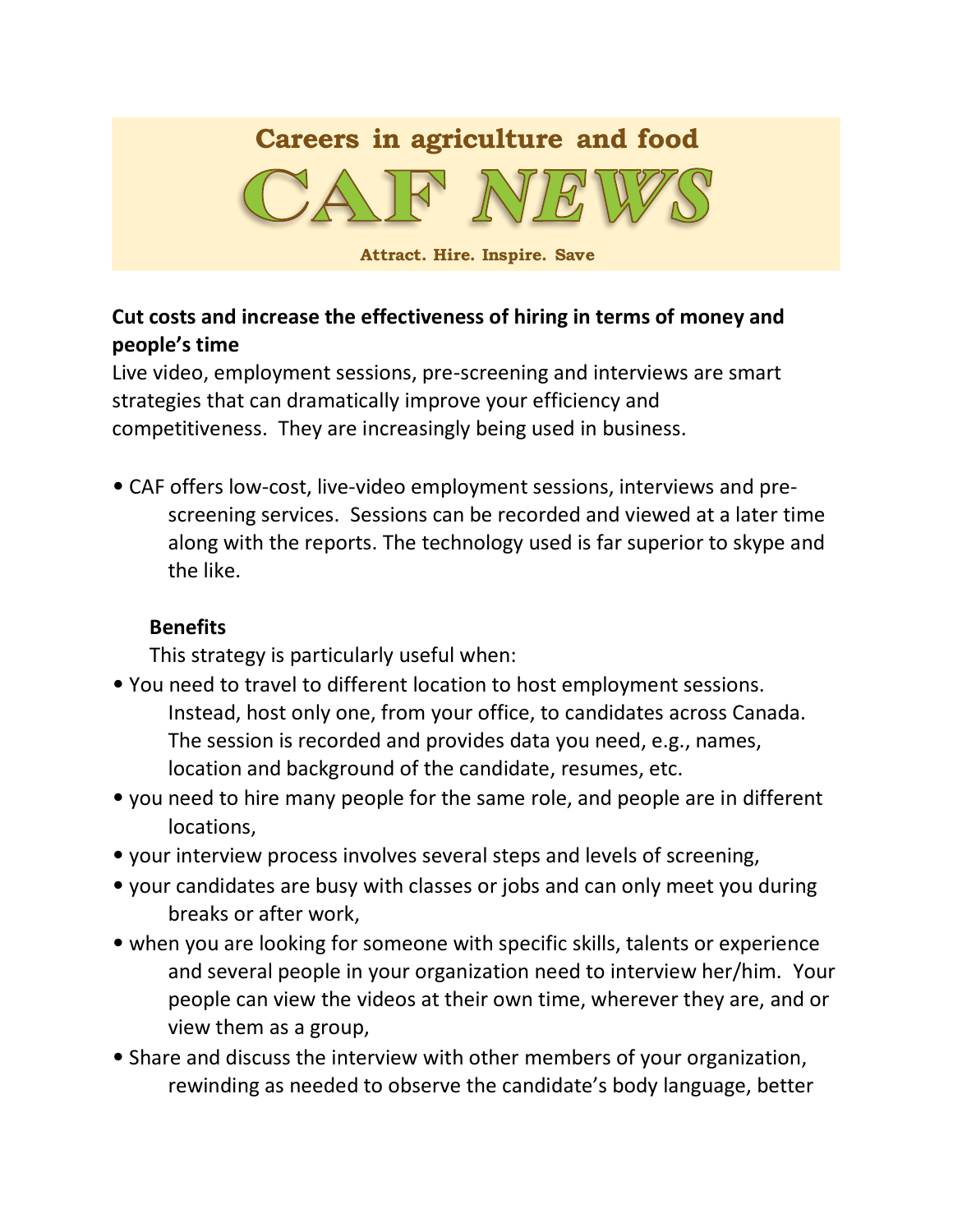# **Careers in agriculture and food**



**Attract. Hire. Inspire. Save**

## **Cut costs and increase the effectiveness of hiring in terms of money and people's time**

Live video, employment sessions, pre-screening and interviews are smart strategies that can dramatically improve your efficiency and competitiveness. They are increasingly being used in business.

• CAF offers low-cost, live-video employment sessions, interviews and prescreening services. Sessions can be recorded and viewed at a later time along with the reports. The technology used is far superior to skype and the like.

## **Benefits**

This strategy is particularly useful when:

- You need to travel to different location to host employment sessions. Instead, host only one, from your office, to candidates across Canada. The session is recorded and provides data you need, e.g., names, location and background of the candidate, resumes, etc.
- you need to hire many people for the same role, and people are in different locations,
- your interview process involves several steps and levels of screening,
- your candidates are busy with classes or jobs and can only meet you during breaks or after work,
- when you are looking for someone with specific skills, talents or experience and several people in your organization need to interview her/him. Your people can view the videos at their own time, wherever they are, and or view them as a group,
- Share and discuss the interview with other members of your organization, rewinding as needed to observe the candidate's body language, better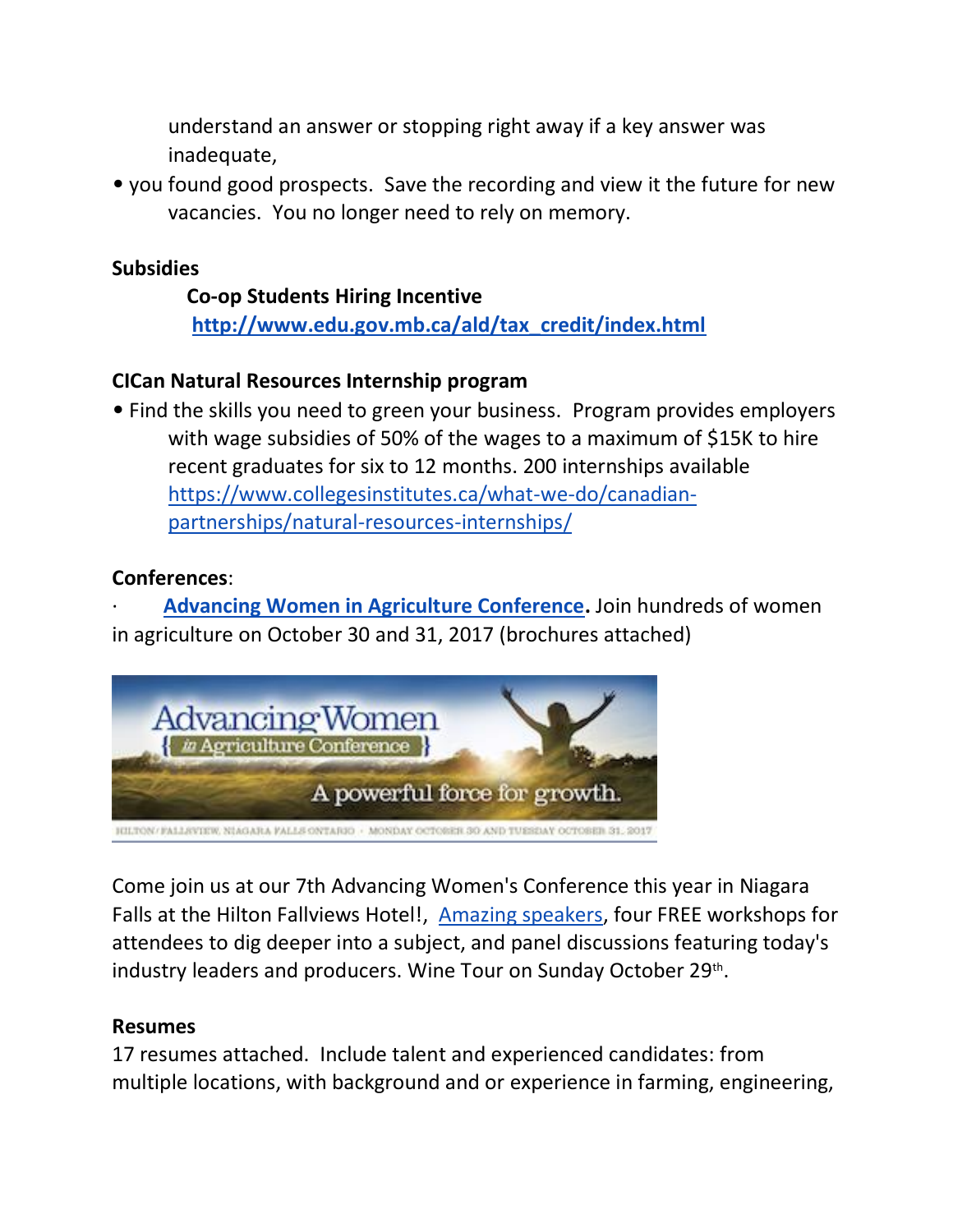understand an answer or stopping right away if a key answer was inadequate,

• you found good prospects. Save the recording and view it the future for new vacancies. You no longer need to rely on memory.

#### **Subsidies**

**Co-op Students Hiring Incentive [http://www.edu.gov.mb.ca/ald/tax\\_credit/index.html](http://www.edu.gov.mb.ca/ald/tax_credit/index.html)**

#### **CICan Natural Resources Internship program**

• Find the skills you need to green your business. Program provides employers with wage subsidies of 50% of the wages to a maximum of \$15K to hire recent graduates for six to 12 months. 200 internships available [https://www.collegesinstitutes.ca/what-we-do/canadian](https://www.collegesinstitutes.ca/what-we-do/canadian-partnerships/natural-resources-internships/)[partnerships/natural-resources-internships/](https://www.collegesinstitutes.ca/what-we-do/canadian-partnerships/natural-resources-internships/)

#### **Conferences**:

[Advancing Women in Agriculture Conference.](http://trk.cp20.com/click/g9lba-auo50l-5ywps762/) Join hundreds of women in agriculture on October 30 and 31, 2017 (brochures attached)



Come join us at our 7th Advancing Women's Conference this year in Niagara Falls at the Hilton Fallviews Hotel!, [Amazing speakers,](http://trk.cp20.com/click/g9lba-auo50k-5ywps761/) four FREE workshops for attendees to dig deeper into a subject, and panel discussions featuring today's industry leaders and producers. Wine Tour on Sunday October 29<sup>th</sup>.

#### **Resumes**

17 resumes attached. Include talent and experienced candidates: from multiple locations, with background and or experience in farming, engineering,